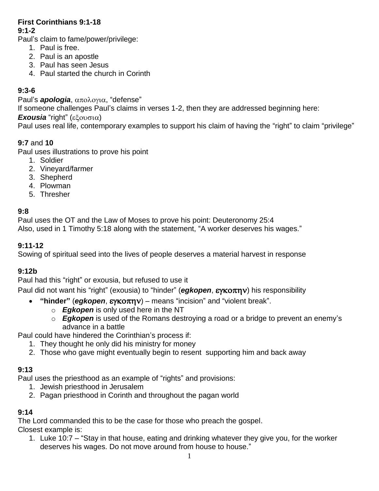# **First Corinthians 9:1-18**

### **9:1-2**

Paul's claim to fame/power/privilege:

- 1. Paul is free.
- 2. Paul is an apostle
- 3. Paul has seen Jesus
- 4. Paul started the church in Corinth

# **9:3-6**

Paul's *apologia*, απολογια, "defense"

If someone challenges Paul's claims in verses 1-2, then they are addressed beginning here:

## **Exousia** "right" (εξουσια)

Paul uses real life, contemporary examples to support his claim of having the "right" to claim "privilege"

# **9:7** and **10**

Paul uses illustrations to prove his point

- 1. Soldier
- 2. Vineyard/farmer
- 3. Shepherd
- 4. Plowman
- 5. Thresher

# **9:8**

Paul uses the OT and the Law of Moses to prove his point: Deuteronomy 25:4 Also, used in 1 Timothy 5:18 along with the statement, "A worker deserves his wages."

# **9:11-12**

Sowing of spiritual seed into the lives of people deserves a material harvest in response

# **9:12b**

Paul had this "right" or exousia, but refused to use it

Paul did not want his "right" (exousia) to "hinder" (*egkopen*, εγκοπην) his responsibility

- "hinder" (egkopen, εγκοπην) means "incision" and "violent break".
	- o *Egkopen* is only used here in the NT
	- o *Egkopen* is used of the Romans destroying a road or a bridge to prevent an enemy's advance in a battle

Paul could have hindered the Corinthian's process if:

- 1. They thought he only did his ministry for money
- 2. Those who gave might eventually begin to resent supporting him and back away

# **9:13**

Paul uses the priesthood as an example of "rights" and provisions:

- 1. Jewish priesthood in Jerusalem
- 2. Pagan priesthood in Corinth and throughout the pagan world

# **9:14**

The Lord commanded this to be the case for those who preach the gospel. Closest example is:

1. Luke 10:7 – "Stay in that house, eating and drinking whatever they give you, for the worker deserves his wages. Do not move around from house to house."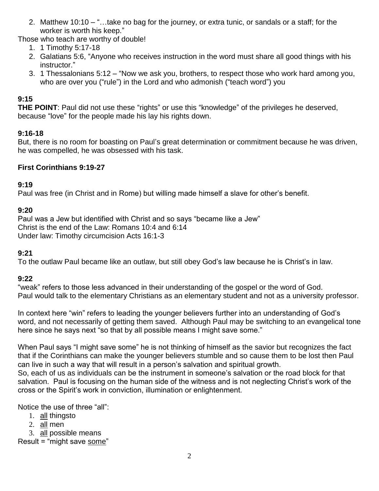- 2. Matthew 10:10 "…take no bag for the journey, or extra tunic, or sandals or a staff; for the worker is worth his keep."
- Those who teach are worthy of double!
	- 1. 1 Timothy 5:17-18
	- 2. Galatians 5:6, "Anyone who receives instruction in the word must share all good things with his instructor."
	- 3. 1 Thessalonians 5:12 "Now we ask you, brothers, to respect those who work hard among you, who are over you ("rule") in the Lord and who admonish ("teach word") you

# **9:15**

**THE POINT**: Paul did not use these "rights" or use this "knowledge" of the privileges he deserved, because "love" for the people made his lay his rights down.

## **9:16-18**

But, there is no room for boasting on Paul's great determination or commitment because he was driven, he was compelled, he was obsessed with his task.

## **First Corinthians 9:19-27**

## **9:19**

Paul was free (in Christ and in Rome) but willing made himself a slave for other's benefit.

## **9:20**

Paul was a Jew but identified with Christ and so says "became like a Jew" Christ is the end of the Law: Romans 10:4 and 6:14 Under law: Timothy circumcision Acts 16:1-3

### **9:21**

To the outlaw Paul became like an outlaw, but still obey God's law because he is Christ's in law.

# **9:22**

"weak" refers to those less advanced in their understanding of the gospel or the word of God. Paul would talk to the elementary Christians as an elementary student and not as a university professor.

In context here "win" refers to leading the younger believers further into an understanding of God's word, and not necessarily of getting them saved. Although Paul may be switching to an evangelical tone here since he says next "so that by all possible means I might save some."

When Paul says "I might save some" he is not thinking of himself as the savior but recognizes the fact that if the Corinthians can make the younger believers stumble and so cause them to be lost then Paul can live in such a way that will result in a person's salvation and spiritual growth. So, each of us as individuals can be the instrument in someone's salvation or the road block for that salvation. Paul is focusing on the human side of the witness and is not neglecting Christ's work of the cross or the Spirit's work in conviction, illumination or enlightenment.

Notice the use of three "all":

- 1. all thingsto
- 2. all men
- 3. all possible means

Result = "might save some"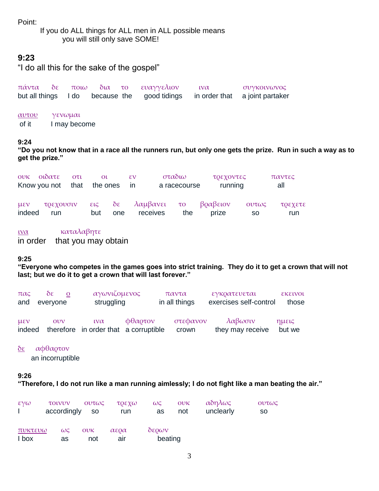Point:

If you do ALL things for ALL men in ALL possible means you will still only save SOME!

### **9:23**

"I do all this for the sake of the gospel"

|  |  | πάντα δε ποιω δια το ευαγγελιον | $\iota\nu\alpha$ | συγκοινωνος                                                                 |
|--|--|---------------------------------|------------------|-----------------------------------------------------------------------------|
|  |  |                                 |                  | but all things I do because the good tidings in order that a joint partaker |

[αυτου](http://strongsnumbers.com/greek/846.htm) [γενωμαι](http://strongsnumbers.com/greek/1096.htm)

of it I may become

#### **9:24**

**"Do you not know that in a race all the runners run, but only one gets the prize. Run in such a way as to get the prize."**

|                    | ουκ οιδατε<br>Know you not that | OTL | $\Omega$<br>the ones |     | $\mathcal{E}V$<br><sub>In</sub> | σταδιω<br>a racecourse | τρεχοντες<br>running                 |              | παντες<br>all  |
|--------------------|---------------------------------|-----|----------------------|-----|---------------------------------|------------------------|--------------------------------------|--------------|----------------|
| $U \& V$<br>indeed | τρεχουσιν<br>run                |     | but                  | one | receives                        | the                    | εις δε λαμβανει το βραβειον<br>prize | Ουτως<br>SO. | τρεχετε<br>run |

### [ινα](http://strongsnumbers.com/greek/2443.htm) [καταλαβητε](http://strongsnumbers.com/greek/2638.htm)

in order that you may obtain

### **9:25**

**"Everyone who competes in the games goes into strict training. They do it to get a crown that will not last; but we do it to get a crown that will last forever."**

| $\pi\alpha\varsigma$            | $\delta \varepsilon$<br>and everyone | αγωνιζομενος<br>struggling                                    |                          | παντα<br>in all things | εγκρατευεται<br>exercises self-control | <b>EKELVOL</b><br>those |
|---------------------------------|--------------------------------------|---------------------------------------------------------------|--------------------------|------------------------|----------------------------------------|-------------------------|
| $\mu \varepsilon \nu$<br>indeed | $\overline{ov}$                      | $i\mathcal{V}\alpha$<br>therefore in order that a corruptible | $\phi\theta\alpha$ or ov | στεφανον<br>crown      | λαβωσιν<br>they may receive            | ημεις<br>but we         |

### [δε](http://strongsnumbers.com/greek/1161.htm) [αφθαρτον](http://strongsnumbers.com/greek/862.htm)

an incorruptible

#### **9:26**

**"Therefore, I do not run like a man running aimlessly; I do not fight like a man beating the air."**

| $\epsilon \gamma \omega$ | τοινυν<br>accordingly so | Ουτως      | τοεχω<br>run                | $\omega \zeta$ OVK<br>as | not | αδηλως<br>unclearly | Ουτως<br><b>SO</b> |
|--------------------------|--------------------------|------------|-----------------------------|--------------------------|-----|---------------------|--------------------|
| πυκτευω<br>I box         | $\omega \varsigma$<br>as | ουκ<br>not | $\alpha$ εο $\alpha$<br>air | $\delta$ ερων<br>beating |     |                     |                    |